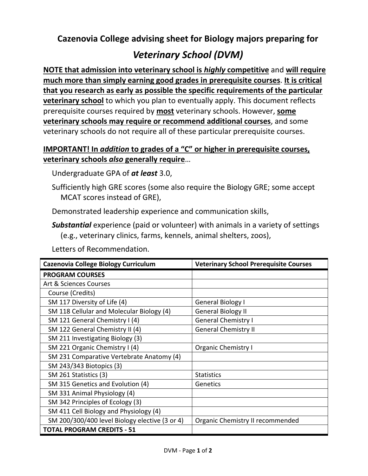**Cazenovia College advising sheet for Biology majors preparing for**

## *Veterinary School (DVM)*

**NOTE that admission into veterinary school is** *highly* **competitive** and **will require much more than simply earning good grades in prerequisite courses**. **It is critical that you research as early as possible the specific requirements of the particular veterinary school** to which you plan to eventually apply. This document reflects prerequisite courses required by **most** veterinary schools. However, **some veterinary schools may require or recommend additional courses**, and some veterinary schools do not require all of these particular prerequisite courses.

## **IMPORTANT! In** *addition* **to grades of a "C" or higher in prerequisite courses, veterinary schools** *also* **generally require**…

Undergraduate GPA of *at least* 3.0,

Sufficiently high GRE scores (some also require the Biology GRE; some accept MCAT scores instead of GRE),

Demonstrated leadership experience and communication skills,

*Substantial* experience (paid or volunteer) with animals in a variety of settings (e.g., veterinary clinics, farms, kennels, animal shelters, zoos),

Letters of Recommendation.

| Cazenovia College Biology Curriculum           | <b>Veterinary School Prerequisite Courses</b> |
|------------------------------------------------|-----------------------------------------------|
| <b>PROGRAM COURSES</b>                         |                                               |
| Art & Sciences Courses                         |                                               |
| Course (Credits)                               |                                               |
| SM 117 Diversity of Life (4)                   | General Biology I                             |
| SM 118 Cellular and Molecular Biology (4)      | <b>General Biology II</b>                     |
| SM 121 General Chemistry I (4)                 | <b>General Chemistry I</b>                    |
| SM 122 General Chemistry II (4)                | <b>General Chemistry II</b>                   |
| SM 211 Investigating Biology (3)               |                                               |
| SM 221 Organic Chemistry I (4)                 | <b>Organic Chemistry I</b>                    |
| SM 231 Comparative Vertebrate Anatomy (4)      |                                               |
| SM 243/343 Biotopics (3)                       |                                               |
| SM 261 Statistics (3)                          | <b>Statistics</b>                             |
| SM 315 Genetics and Evolution (4)              | Genetics                                      |
| SM 331 Animal Physiology (4)                   |                                               |
| SM 342 Principles of Ecology (3)               |                                               |
| SM 411 Cell Biology and Physiology (4)         |                                               |
| SM 200/300/400 level Biology elective (3 or 4) | Organic Chemistry II recommended              |
| <b>TOTAL PROGRAM CREDITS - 51</b>              |                                               |